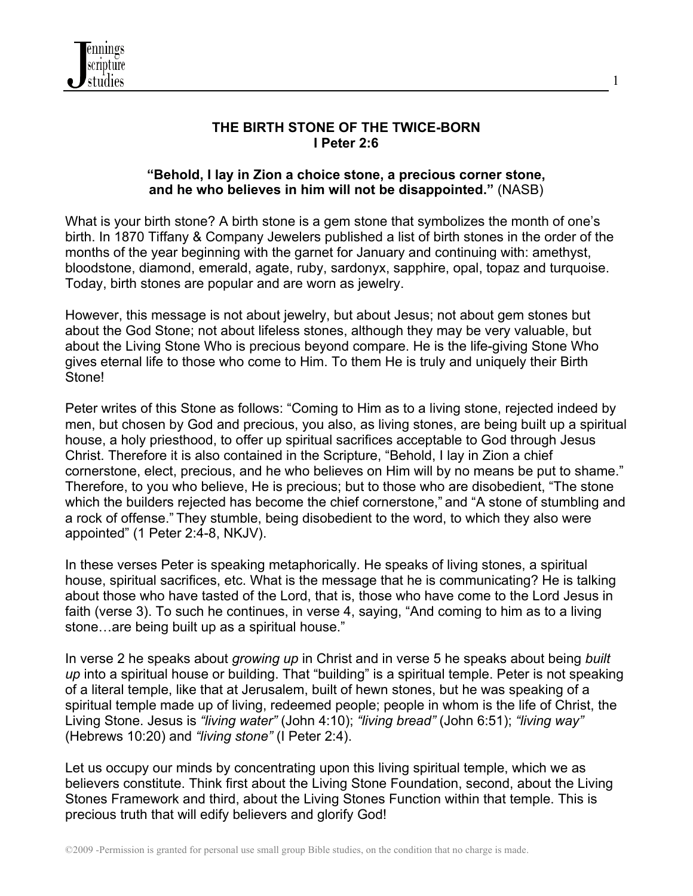

### **THE BIRTH STONE OF THE TWICE-BORN I Peter 2:6**

1

#### **"Behold, I lay in Zion a choice stone, a precious corner stone, and he who believes in him will not be disappointed."** (NASB)

What is your birth stone? A birth stone is a gem stone that symbolizes the month of one's birth. In 1870 Tiffany & Company Jewelers published a list of birth stones in the order of the months of the year beginning with the garnet for January and continuing with: amethyst, bloodstone, diamond, emerald, agate, ruby, sardonyx, sapphire, opal, topaz and turquoise. Today, birth stones are popular and are worn as jewelry.

However, this message is not about jewelry, but about Jesus; not about gem stones but about the God Stone; not about lifeless stones, although they may be very valuable, but about the Living Stone Who is precious beyond compare. He is the life-giving Stone Who gives eternal life to those who come to Him. To them He is truly and uniquely their Birth Stone!

Peter writes of this Stone as follows: "Coming to Him as to a living stone, rejected indeed by men, but chosen by God and precious, you also, as living stones, are being built up a spiritual house, a holy priesthood, to offer up spiritual sacrifices acceptable to God through Jesus Christ. Therefore it is also contained in the Scripture, "Behold, I lay in Zion a chief cornerstone, elect, precious, and he who believes on Him will by no means be put to shame." Therefore, to you who believe, He is precious; but to those who are disobedient, "The stone which the builders rejected has become the chief cornerstone," and "A stone of stumbling and a rock of offense." They stumble, being disobedient to the word, to which they also were appointed" (1 Peter 2:4-8, NKJV).

In these verses Peter is speaking metaphorically. He speaks of living stones, a spiritual house, spiritual sacrifices, etc. What is the message that he is communicating? He is talking about those who have tasted of the Lord, that is, those who have come to the Lord Jesus in faith (verse 3). To such he continues, in verse 4, saying, "And coming to him as to a living stone…are being built up as a spiritual house."

In verse 2 he speaks about *growing up* in Christ and in verse 5 he speaks about being *built up* into a spiritual house or building. That "building" is a spiritual temple. Peter is not speaking of a literal temple, like that at Jerusalem, built of hewn stones, but he was speaking of a spiritual temple made up of living, redeemed people; people in whom is the life of Christ, the Living Stone. Jesus is *"living water"* (John 4:10); *"living bread"* (John 6:51); *"living way"* (Hebrews 10:20) and *"living stone"* (I Peter 2:4).

Let us occupy our minds by concentrating upon this living spiritual temple, which we as believers constitute. Think first about the Living Stone Foundation, second, about the Living Stones Framework and third, about the Living Stones Function within that temple. This is precious truth that will edify believers and glorify God!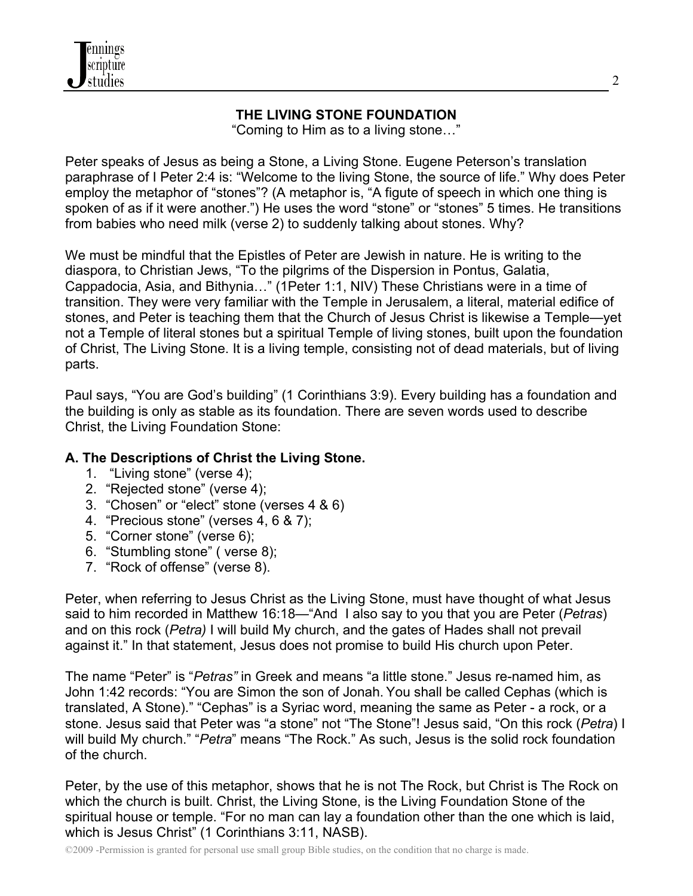

### **THE LIVING STONE FOUNDATION**

"Coming to Him as to a living stone…"

Peter speaks of Jesus as being a Stone, a Living Stone. Eugene Peterson's translation paraphrase of I Peter 2:4 is: "Welcome to the living Stone, the source of life." Why does Peter employ the metaphor of "stones"? (A metaphor is, "A figute of speech in which one thing is spoken of as if it were another.") He uses the word "stone" or "stones" 5 times. He transitions from babies who need milk (verse 2) to suddenly talking about stones. Why?

We must be mindful that the Epistles of Peter are Jewish in nature. He is writing to the diaspora, to Christian Jews, "To the pilgrims of the Dispersion in Pontus, Galatia, Cappadocia, Asia, and Bithynia…" (1Peter 1:1, NIV) These Christians were in a time of transition. They were very familiar with the Temple in Jerusalem, a literal, material edifice of stones, and Peter is teaching them that the Church of Jesus Christ is likewise a Temple—yet not a Temple of literal stones but a spiritual Temple of living stones, built upon the foundation of Christ, The Living Stone. It is a living temple, consisting not of dead materials, but of living parts.

Paul says, "You are God's building" (1 Corinthians 3:9). Every building has a foundation and the building is only as stable as its foundation. There are seven words used to describe Christ, the Living Foundation Stone:

## **A. The Descriptions of Christ the Living Stone.**

- 1. "Living stone" (verse 4);
- 2. "Rejected stone" (verse 4);
- 3. "Chosen" or "elect" stone (verses 4 & 6)
- 4. "Precious stone" (verses 4, 6 & 7);
- 5. "Corner stone" (verse 6);
- 6. "Stumbling stone" ( verse 8);
- 7. "Rock of offense" (verse 8).

Peter, when referring to Jesus Christ as the Living Stone, must have thought of what Jesus said to him recorded in Matthew 16:18—"And I also say to you that you are Peter (*Petras*) and on this rock (*Petra)* I will build My church, and the gates of Hades shall not prevail against it." In that statement, Jesus does not promise to build His church upon Peter.

The name "Peter" is "*Petras"* in Greek and means "a little stone." Jesus re-named him, as John 1:42 records: "You are Simon the son of Jonah. You shall be called Cephas (which is translated, A Stone)." "Cephas" is a Syriac word, meaning the same as Peter - a rock, or a stone. Jesus said that Peter was "a stone" not "The Stone"! Jesus said, "On this rock (*Petra*) I will build My church." "*Petra*" means "The Rock." As such, Jesus is the solid rock foundation of the church.

Peter, by the use of this metaphor, shows that he is not The Rock, but Christ is The Rock on which the church is built. Christ, the Living Stone, is the Living Foundation Stone of the spiritual house or temple. "For no man can lay a foundation other than the one which is laid, which is Jesus Christ" (1 Corinthians 3:11, NASB).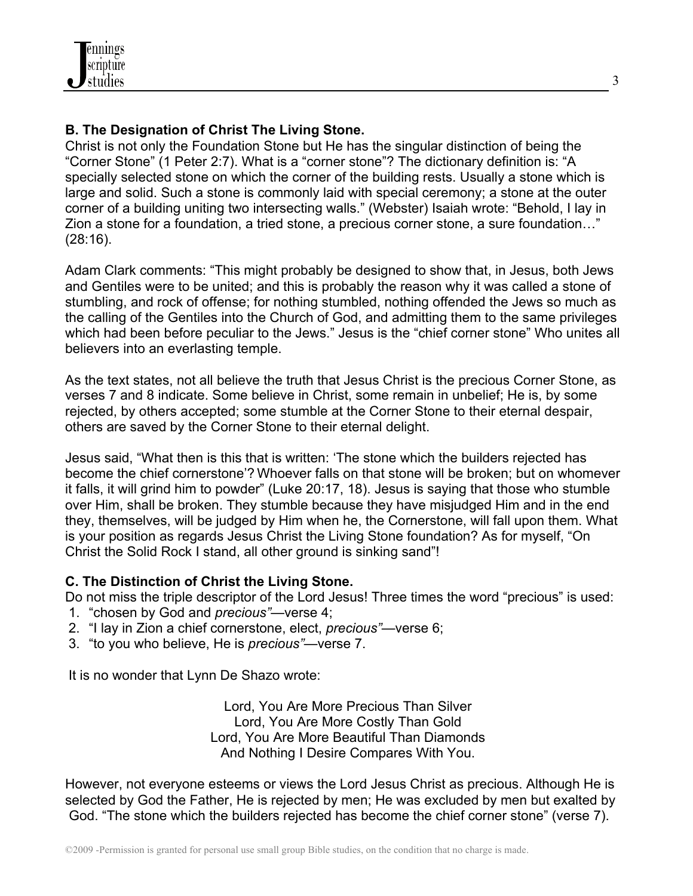## **B. The Designation of Christ The Living Stone.**

Christ is not only the Foundation Stone but He has the singular distinction of being the "Corner Stone" (1 Peter 2:7). What is a "corner stone"? The dictionary definition is: "A specially selected stone on which the corner of the building rests. Usually a stone which is large and solid. Such a stone is commonly laid with special ceremony; a stone at the outer corner of a building uniting two intersecting walls." (Webster) Isaiah wrote: "Behold, I lay in Zion a stone for a foundation, a tried stone, a precious corner stone, a sure foundation…" (28:16).

Adam Clark comments: "This might probably be designed to show that, in Jesus, both Jews and Gentiles were to be united; and this is probably the reason why it was called a stone of stumbling, and rock of offense; for nothing stumbled, nothing offended the Jews so much as the calling of the Gentiles into the Church of God, and admitting them to the same privileges which had been before peculiar to the Jews." Jesus is the "chief corner stone" Who unites all believers into an everlasting temple.

As the text states, not all believe the truth that Jesus Christ is the precious Corner Stone, as verses 7 and 8 indicate. Some believe in Christ, some remain in unbelief; He is, by some rejected, by others accepted; some stumble at the Corner Stone to their eternal despair, others are saved by the Corner Stone to their eternal delight.

Jesus said, "What then is this that is written: 'The stone which the builders rejected has become the chief cornerstone'? Whoever falls on that stone will be broken; but on whomever it falls, it will grind him to powder" (Luke 20:17, 18). Jesus is saying that those who stumble over Him, shall be broken. They stumble because they have misjudged Him and in the end they, themselves, will be judged by Him when he, the Cornerstone, will fall upon them. What is your position as regards Jesus Christ the Living Stone foundation? As for myself, "On Christ the Solid Rock I stand, all other ground is sinking sand"!

## **C. The Distinction of Christ the Living Stone.**

Do not miss the triple descriptor of the Lord Jesus! Three times the word "precious" is used:

- 1. "chosen by God and *precious"*—verse 4;
- 2. "I lay in Zion a chief cornerstone, elect, *precious"*—verse 6;
- 3. "to you who believe, He is *precious"*—verse 7.

It is no wonder that Lynn De Shazo wrote:

Lord, You Are More Precious Than Silver Lord, You Are More Costly Than Gold Lord, You Are More Beautiful Than Diamonds And Nothing I Desire Compares With You.

However, not everyone esteems or views the Lord Jesus Christ as precious. Although He is selected by God the Father, He is rejected by men; He was excluded by men but exalted by God. "The stone which the builders rejected has become the chief corner stone" (verse 7).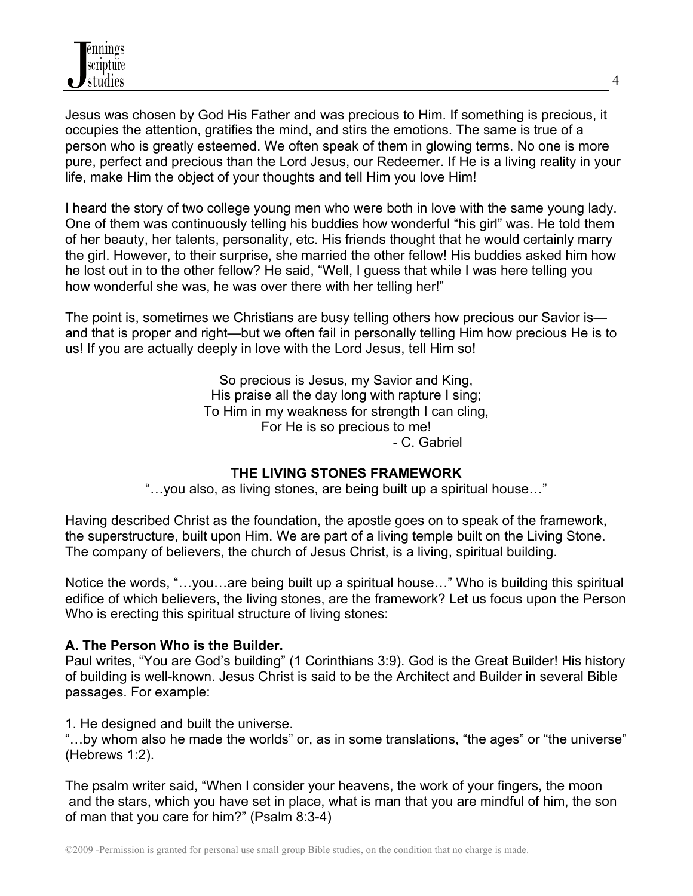Jesus was chosen by God His Father and was precious to Him. If something is precious, it occupies the attention, gratifies the mind, and stirs the emotions. The same is true of a person who is greatly esteemed. We often speak of them in glowing terms. No one is more pure, perfect and precious than the Lord Jesus, our Redeemer. If He is a living reality in your life, make Him the object of your thoughts and tell Him you love Him!

I heard the story of two college young men who were both in love with the same young lady. One of them was continuously telling his buddies how wonderful "his girl" was. He told them of her beauty, her talents, personality, etc. His friends thought that he would certainly marry the girl. However, to their surprise, she married the other fellow! His buddies asked him how he lost out in to the other fellow? He said, "Well, I guess that while I was here telling you how wonderful she was, he was over there with her telling her!"

The point is, sometimes we Christians are busy telling others how precious our Savior is and that is proper and right—but we often fail in personally telling Him how precious He is to us! If you are actually deeply in love with the Lord Jesus, tell Him so!

> So precious is Jesus, my Savior and King, His praise all the day long with rapture I sing; To Him in my weakness for strength I can cling, For He is so precious to me! - C. Gabriel

## T**HE LIVING STONES FRAMEWORK**

"…you also, as living stones, are being built up a spiritual house…"

Having described Christ as the foundation, the apostle goes on to speak of the framework, the superstructure, built upon Him. We are part of a living temple built on the Living Stone. The company of believers, the church of Jesus Christ, is a living, spiritual building.

Notice the words, "…you…are being built up a spiritual house…" Who is building this spiritual edifice of which believers, the living stones, are the framework? Let us focus upon the Person Who is erecting this spiritual structure of living stones:

## **A. The Person Who is the Builder.**

Paul writes, "You are God's building" (1 Corinthians 3:9). God is the Great Builder! His history of building is well-known. Jesus Christ is said to be the Architect and Builder in several Bible passages. For example:

1. He designed and built the universe.

"…by whom also he made the worlds" or, as in some translations, "the ages" or "the universe" (Hebrews 1:2).

The psalm writer said, "When I consider your heavens, the work of your fingers, the moon and the stars, which you have set in place, what is man that you are mindful of him, the son of man that you care for him?" (Psalm 8:3-4)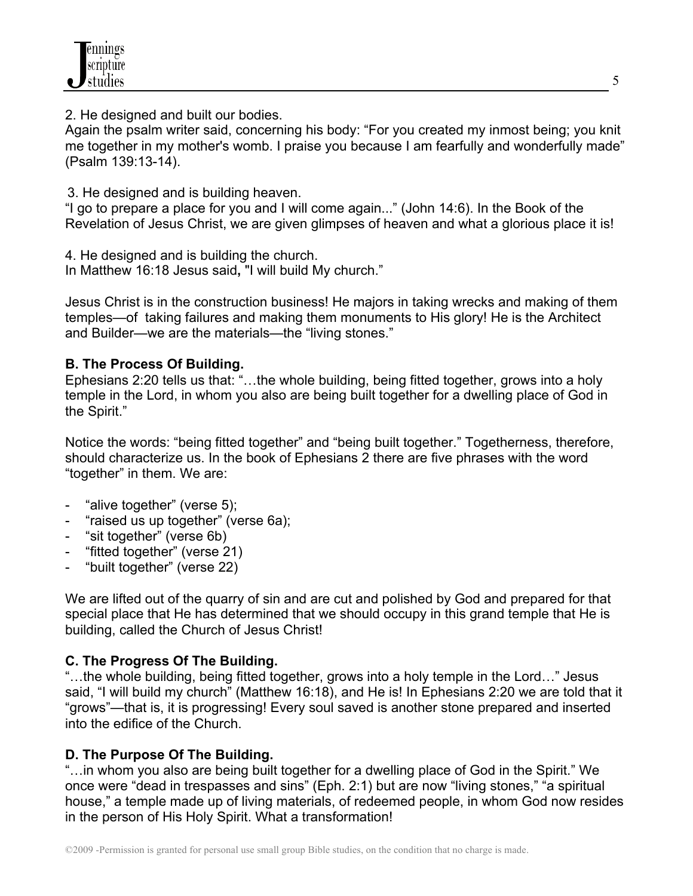2. He designed and built our bodies.

Again the psalm writer said, concerning his body: "For you created my inmost being; you knit me together in my mother's womb. I praise you because I am fearfully and wonderfully made" (Psalm 139:13-14).

3. He designed and is building heaven.

"I go to prepare a place for you and I will come again..." (John 14:6). In the Book of the Revelation of Jesus Christ, we are given glimpses of heaven and what a glorious place it is!

4. He designed and is building the church. In Matthew 16:18 Jesus said**,** "I will build My church."

Jesus Christ is in the construction business! He majors in taking wrecks and making of them temples—of taking failures and making them monuments to His glory! He is the Architect and Builder—we are the materials—the "living stones."

## **B. The Process Of Building.**

Ephesians 2:20 tells us that: "…the whole building, being fitted together, grows into a holy temple in the Lord, in whom you also are being built together for a dwelling place of God in the Spirit."

Notice the words: "being fitted together" and "being built together." Togetherness, therefore, should characterize us. In the book of Ephesians 2 there are five phrases with the word "together" in them. We are:

- "alive together" (verse 5);
- "raised us up together" (verse 6a);
- "sit together" (verse 6b)
- "fitted together" (verse 21)
- "built together" (verse 22)

We are lifted out of the quarry of sin and are cut and polished by God and prepared for that special place that He has determined that we should occupy in this grand temple that He is building, called the Church of Jesus Christ!

# **C. The Progress Of The Building.**

"…the whole building, being fitted together, grows into a holy temple in the Lord…" Jesus said, "I will build my church" (Matthew 16:18), and He is! In Ephesians 2:20 we are told that it "grows"—that is, it is progressing! Every soul saved is another stone prepared and inserted into the edifice of the Church.

# **D. The Purpose Of The Building.**

"…in whom you also are being built together for a dwelling place of God in the Spirit." We once were "dead in trespasses and sins" (Eph. 2:1) but are now "living stones," "a spiritual house," a temple made up of living materials, of redeemed people, in whom God now resides in the person of His Holy Spirit. What a transformation!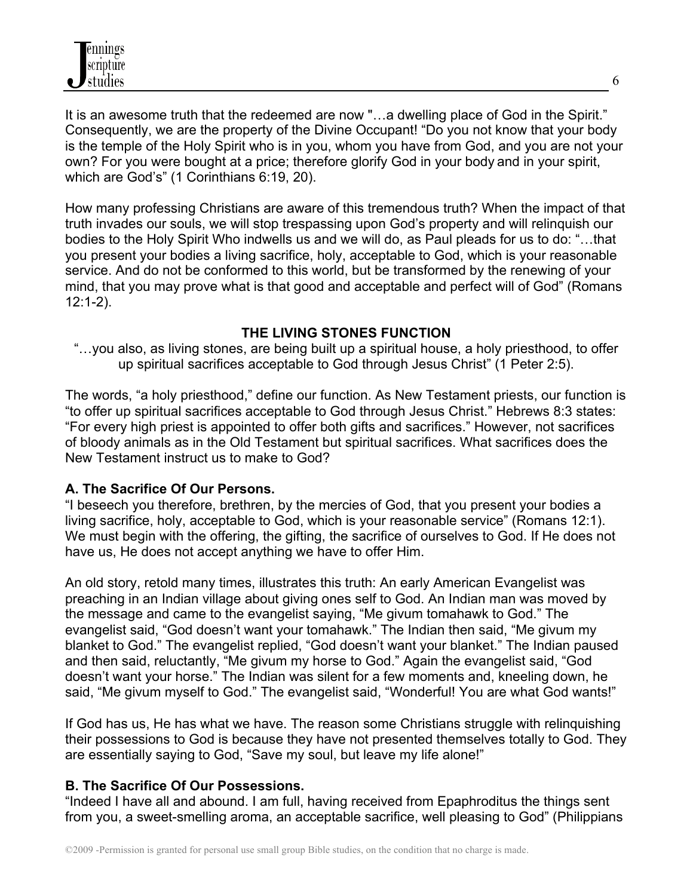It is an awesome truth that the redeemed are now "…a dwelling place of God in the Spirit." Consequently, we are the property of the Divine Occupant! "Do you not know that your body is the temple of the Holy Spirit who is in you, whom you have from God, and you are not your own? For you were bought at a price; therefore glorify God in your body and in your spirit, which are God's" (1 Corinthians 6:19, 20).

How many professing Christians are aware of this tremendous truth? When the impact of that truth invades our souls, we will stop trespassing upon God's property and will relinquish our bodies to the Holy Spirit Who indwells us and we will do, as Paul pleads for us to do: "…that you present your bodies a living sacrifice, holy, acceptable to God, which is your reasonable service. And do not be conformed to this world, but be transformed by the renewing of your mind, that you may prove what is that good and acceptable and perfect will of God" (Romans 12:1-2).

## **THE LIVING STONES FUNCTION**

"…you also, as living stones, are being built up a spiritual house, a holy priesthood, to offer up spiritual sacrifices acceptable to God through Jesus Christ" (1 Peter 2:5).

The words, "a holy priesthood," define our function. As New Testament priests, our function is "to offer up spiritual sacrifices acceptable to God through Jesus Christ." Hebrews 8:3 states: "For every high priest is appointed to offer both gifts and sacrifices." However, not sacrifices of bloody animals as in the Old Testament but spiritual sacrifices. What sacrifices does the New Testament instruct us to make to God?

## **A. The Sacrifice Of Our Persons.**

"I beseech you therefore, brethren, by the mercies of God, that you present your bodies a living sacrifice, holy, acceptable to God, which is your reasonable service" (Romans 12:1). We must begin with the offering, the gifting, the sacrifice of ourselves to God. If He does not have us, He does not accept anything we have to offer Him.

An old story, retold many times, illustrates this truth: An early American Evangelist was preaching in an Indian village about giving ones self to God. An Indian man was moved by the message and came to the evangelist saying, "Me givum tomahawk to God." The evangelist said, "God doesn't want your tomahawk." The Indian then said, "Me givum my blanket to God." The evangelist replied, "God doesn't want your blanket." The Indian paused and then said, reluctantly, "Me givum my horse to God." Again the evangelist said, "God doesn't want your horse." The Indian was silent for a few moments and, kneeling down, he said, "Me givum myself to God." The evangelist said, "Wonderful! You are what God wants!"

If God has us, He has what we have. The reason some Christians struggle with relinquishing their possessions to God is because they have not presented themselves totally to God. They are essentially saying to God, "Save my soul, but leave my life alone!"

## **B. The Sacrifice Of Our Possessions.**

"Indeed I have all and abound. I am full, having received from Epaphroditus the things sent from you, a sweet-smelling aroma, an acceptable sacrifice, well pleasing to God" (Philippians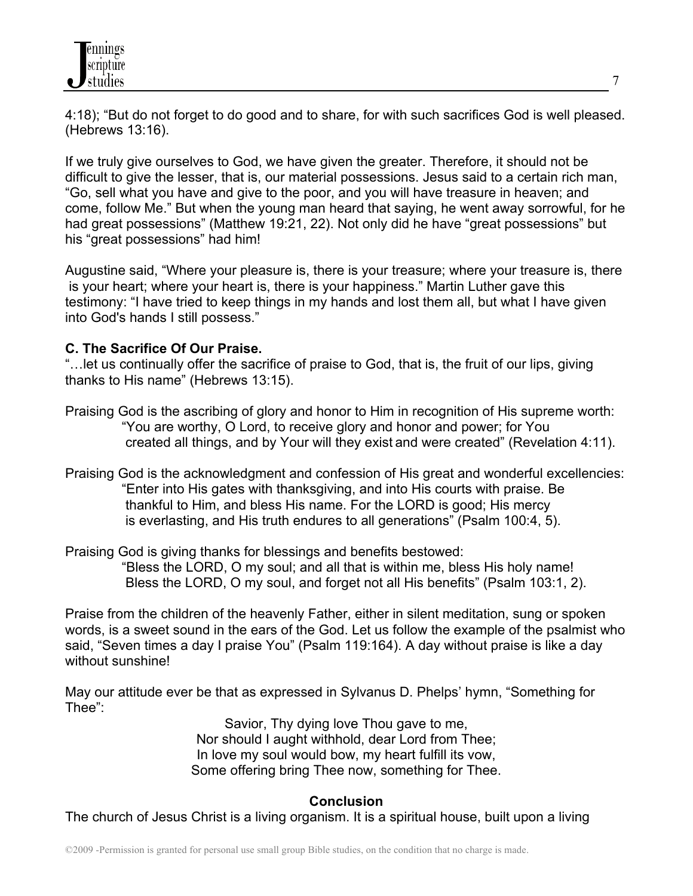4:18); "But do not forget to do good and to share, for with such sacrifices God is well pleased. (Hebrews 13:16).

If we truly give ourselves to God, we have given the greater. Therefore, it should not be difficult to give the lesser, that is, our material possessions. Jesus said to a certain rich man, "Go, sell what you have and give to the poor, and you will have treasure in heaven; and come, follow Me." But when the young man heard that saying, he went away sorrowful, for he had great possessions" (Matthew 19:21, 22). Not only did he have "great possessions" but his "great possessions" had him!

Augustine said, "Where your pleasure is, there is your treasure; where your treasure is, there is your heart; where your heart is, there is your happiness." Martin Luther gave this testimony: "I have tried to keep things in my hands and lost them all, but what I have given into God's hands I still possess."

## **C. The Sacrifice Of Our Praise.**

"…let us continually offer the sacrifice of praise to God, that is, the fruit of our lips, giving thanks to His name" (Hebrews 13:15).

- Praising God is the ascribing of glory and honor to Him in recognition of His supreme worth: "You are worthy, O Lord, to receive glory and honor and power; for You created all things, and by Your will they exist and were created" (Revelation 4:11).
- Praising God is the acknowledgment and confession of His great and wonderful excellencies: "Enter into His gates with thanksgiving, and into His courts with praise. Be thankful to Him, and bless His name. For the LORD is good; His mercy is everlasting, and His truth endures to all generations" (Psalm 100:4, 5).

Praising God is giving thanks for blessings and benefits bestowed: "Bless the LORD, O my soul; and all that is within me, bless His holy name! Bless the LORD, O my soul, and forget not all His benefits" (Psalm 103:1, 2).

Praise from the children of the heavenly Father, either in silent meditation, sung or spoken words, is a sweet sound in the ears of the God. Let us follow the example of the psalmist who said, "Seven times a day I praise You" (Psalm 119:164). A day without praise is like a day without sunshine!

May our attitude ever be that as expressed in Sylvanus D. Phelps' hymn, "Something for Thee":

> Savior, Thy dying love Thou gave to me, Nor should I aught withhold, dear Lord from Thee; In love my soul would bow, my heart fulfill its vow, Some offering bring Thee now, something for Thee.

## **Conclusion**

The church of Jesus Christ is a living organism. It is a spiritual house, built upon a living